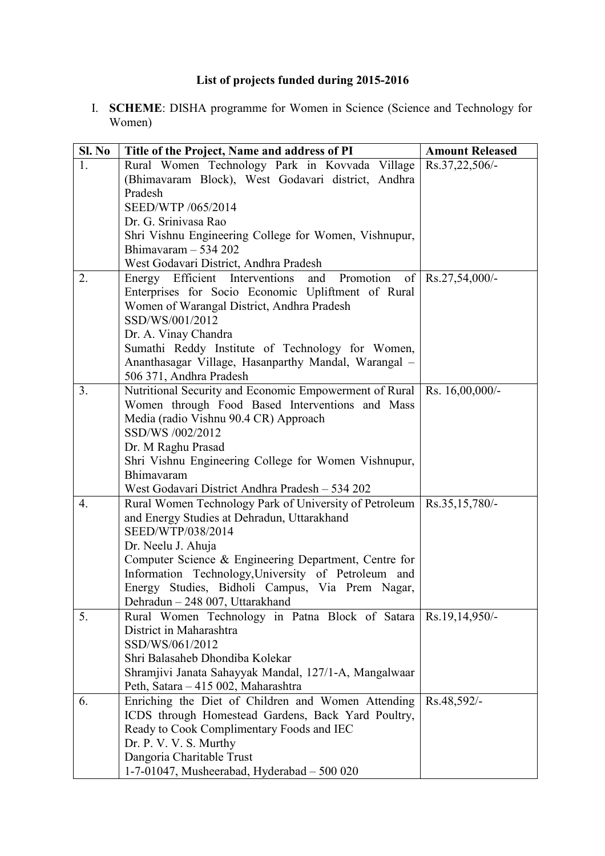## **List of projects funded during 2015-2016**

I. **SCHEME**: DISHA programme for Women in Science (Science and Technology for Women)

| Sl. No | Title of the Project, Name and address of PI                                                    | <b>Amount Released</b> |
|--------|-------------------------------------------------------------------------------------------------|------------------------|
| 1.     | Rural Women Technology Park in Kovvada Village                                                  | Rs.37,22,506/-         |
|        | (Bhimavaram Block), West Godavari district, Andhra                                              |                        |
|        | Pradesh                                                                                         |                        |
|        | SEED/WTP /065/2014                                                                              |                        |
|        | Dr. G. Srinivasa Rao                                                                            |                        |
|        | Shri Vishnu Engineering College for Women, Vishnupur,                                           |                        |
|        | Bhimavaram $-534202$                                                                            |                        |
|        | West Godavari District, Andhra Pradesh                                                          |                        |
| 2.     | Promotion<br>Energy Efficient Interventions<br>and                                              | of   Rs.27,54,000/-    |
|        | Enterprises for Socio Economic Upliftment of Rural                                              |                        |
|        | Women of Warangal District, Andhra Pradesh                                                      |                        |
|        | SSD/WS/001/2012                                                                                 |                        |
|        | Dr. A. Vinay Chandra<br>Sumathi Reddy Institute of Technology for Women,                        |                        |
|        | Ananthasagar Village, Hasanparthy Mandal, Warangal -                                            |                        |
|        | 506 371, Andhra Pradesh                                                                         |                        |
| 3.     | Nutritional Security and Economic Empowerment of Rural                                          | Rs. 16,00,000/-        |
|        | Women through Food Based Interventions and Mass                                                 |                        |
|        | Media (radio Vishnu 90.4 CR) Approach                                                           |                        |
|        | SSD/WS /002/2012                                                                                |                        |
|        | Dr. M Raghu Prasad                                                                              |                        |
|        | Shri Vishnu Engineering College for Women Vishnupur,                                            |                        |
|        | Bhimavaram                                                                                      |                        |
|        | West Godavari District Andhra Pradesh - 534 202                                                 |                        |
| 4.     | Rural Women Technology Park of University of Petroleum   Rs.35,15,780/-                         |                        |
|        | and Energy Studies at Dehradun, Uttarakhand                                                     |                        |
|        | SEED/WTP/038/2014                                                                               |                        |
|        | Dr. Neelu J. Ahuja                                                                              |                        |
|        | Computer Science & Engineering Department, Centre for                                           |                        |
|        | Information Technology, University of Petroleum and                                             |                        |
|        | Energy Studies, Bidholi Campus, Via Prem Nagar,                                                 |                        |
|        | Dehradun - 248 007, Uttarakhand                                                                 |                        |
| 5.     | Rural Women Technology in Patna Block of Satara                                                 | Rs.19,14,950/-         |
|        | District in Maharashtra                                                                         |                        |
|        | SSD/WS/061/2012                                                                                 |                        |
|        | Shri Balasaheb Dhondiba Kolekar                                                                 |                        |
|        | Shramjivi Janata Sahayyak Mandal, 127/1-A, Mangalwaar                                           |                        |
| 6.     | Peth, Satara - 415 002, Maharashtra                                                             |                        |
|        | Enriching the Diet of Children and Women Attending                                              | Rs.48,592/-            |
|        | ICDS through Homestead Gardens, Back Yard Poultry,<br>Ready to Cook Complimentary Foods and IEC |                        |
|        | Dr. P. V. V. S. Murthy                                                                          |                        |
|        | Dangoria Charitable Trust                                                                       |                        |
|        | 1-7-01047, Musheerabad, Hyderabad $-500020$                                                     |                        |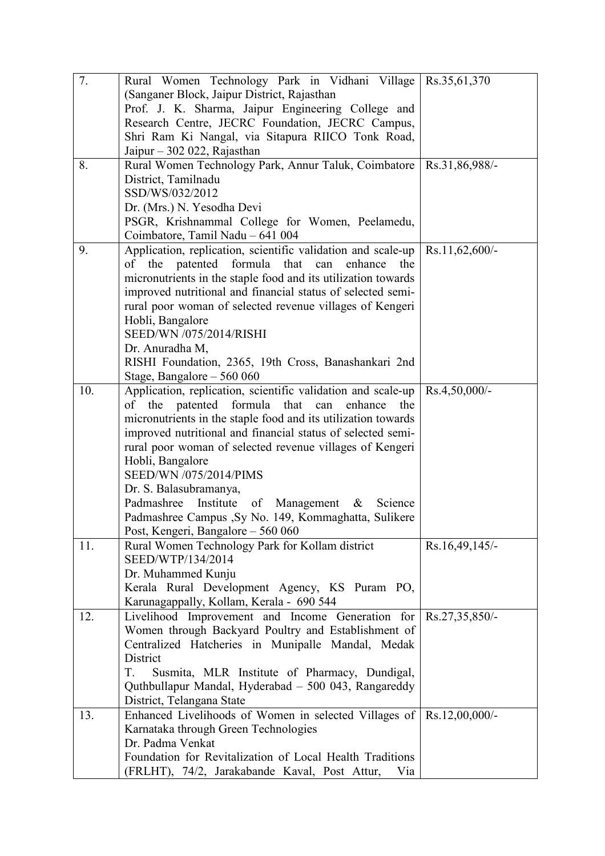| 7.  | Rural Women Technology Park in Vidhani Village   Rs.35,61,370                |                |
|-----|------------------------------------------------------------------------------|----------------|
|     | (Sanganer Block, Jaipur District, Rajasthan                                  |                |
|     | Prof. J. K. Sharma, Jaipur Engineering College and                           |                |
|     | Research Centre, JECRC Foundation, JECRC Campus,                             |                |
|     | Shri Ram Ki Nangal, via Sitapura RIICO Tonk Road,                            |                |
|     | Jaipur $-302022$ , Rajasthan                                                 |                |
| 8.  | Rural Women Technology Park, Annur Taluk, Coimbatore                         | Rs.31,86,988/- |
|     | District, Tamilnadu                                                          |                |
|     | SSD/WS/032/2012                                                              |                |
|     | Dr. (Mrs.) N. Yesodha Devi                                                   |                |
|     | PSGR, Krishnammal College for Women, Peelamedu,                              |                |
|     | Coimbatore, Tamil Nadu - 641 004                                             |                |
| 9.  | Application, replication, scientific validation and scale-up                 | Rs.11,62,600/- |
|     | of the patented formula that can<br>the<br>enhance                           |                |
|     | micronutrients in the staple food and its utilization towards                |                |
|     | improved nutritional and financial status of selected semi-                  |                |
|     | rural poor woman of selected revenue villages of Kengeri                     |                |
|     | Hobli, Bangalore                                                             |                |
|     | <b>SEED/WN /075/2014/RISHI</b>                                               |                |
|     | Dr. Anuradha M,                                                              |                |
|     | RISHI Foundation, 2365, 19th Cross, Banashankari 2nd                         |                |
|     | Stage, Bangalore - 560 060                                                   |                |
| 10. | Application, replication, scientific validation and scale-up                 | Rs.4,50,000/-  |
|     | of the patented formula that can<br>enhance<br>the                           |                |
|     | micronutrients in the staple food and its utilization towards                |                |
|     | improved nutritional and financial status of selected semi-                  |                |
|     | rural poor woman of selected revenue villages of Kengeri                     |                |
|     | Hobli, Bangalore                                                             |                |
|     | SEED/WN /075/2014/PIMS                                                       |                |
|     | Dr. S. Balasubramanya,<br>Padmashree<br>Institute<br>of Management & Science |                |
|     | Padmashree Campus , Sy No. 149, Kommaghatta, Sulikere                        |                |
|     | Post, Kengeri, Bangalore - 560 060                                           |                |
| 11. | Rural Women Technology Park for Kollam district                              | Rs.16,49,145/- |
|     | SEED/WTP/134/2014                                                            |                |
|     | Dr. Muhammed Kunju                                                           |                |
|     | Kerala Rural Development Agency, KS Puram PO,                                |                |
|     | Karunagappally, Kollam, Kerala - 690 544                                     |                |
| 12. | Livelihood Improvement and Income Generation for                             | Rs.27,35,850/- |
|     | Women through Backyard Poultry and Establishment of                          |                |
|     | Centralized Hatcheries in Munipalle Mandal, Medak                            |                |
|     | District                                                                     |                |
|     | T.<br>Susmita, MLR Institute of Pharmacy, Dundigal,                          |                |
|     | Quthbullapur Mandal, Hyderabad - 500 043, Rangareddy                         |                |
|     | District, Telangana State                                                    |                |
| 13. | Enhanced Livelihoods of Women in selected Villages of Rs.12,00,000/-         |                |
|     | Karnataka through Green Technologies                                         |                |
|     | Dr. Padma Venkat                                                             |                |
|     | Foundation for Revitalization of Local Health Traditions                     |                |
|     | (FRLHT), 74/2, Jarakabande Kaval, Post Attur,<br>Via                         |                |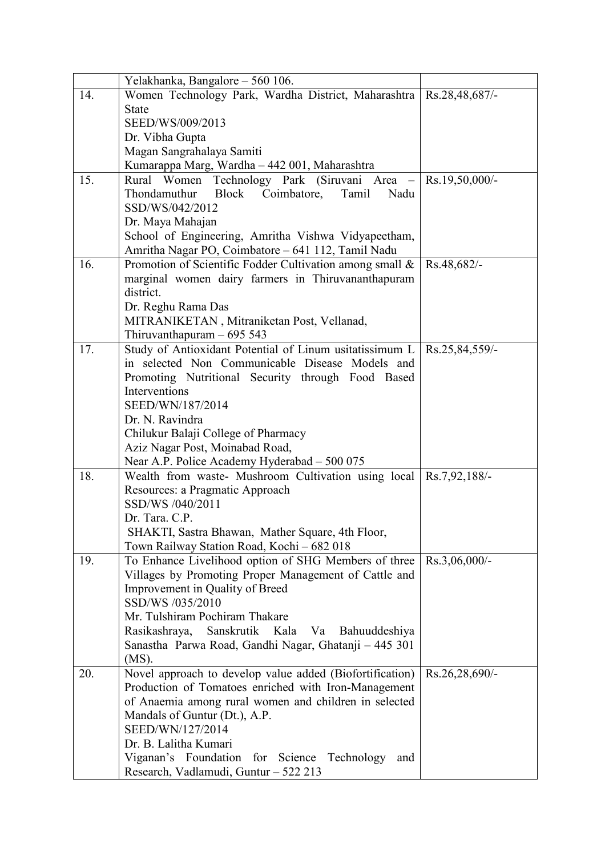|     | Yelakhanka, Bangalore - 560 106.                                     |                  |
|-----|----------------------------------------------------------------------|------------------|
| 14. | Women Technology Park, Wardha District, Maharashtra   Rs.28,48,687/- |                  |
|     | <b>State</b>                                                         |                  |
|     | SEED/WS/009/2013                                                     |                  |
|     | Dr. Vibha Gupta                                                      |                  |
|     | Magan Sangrahalaya Samiti                                            |                  |
|     | Kumarappa Marg, Wardha - 442 001, Maharashtra                        |                  |
| 15. | Rural Women Technology Park (Siruvani Area -                         | RS.19,50,000/    |
|     | Block Coimbatore,<br>Thondamuthur<br>Tamil<br>Nadu                   |                  |
|     | SSD/WS/042/2012                                                      |                  |
|     | Dr. Maya Mahajan                                                     |                  |
|     | School of Engineering, Amritha Vishwa Vidyapeetham,                  |                  |
|     | Amritha Nagar PO, Coimbatore - 641 112, Tamil Nadu                   |                  |
| 16. | Promotion of Scientific Fodder Cultivation among small &             | Rs.48,682/-      |
|     | marginal women dairy farmers in Thiruvananthapuram                   |                  |
|     | district.                                                            |                  |
|     | Dr. Reghu Rama Das                                                   |                  |
|     | MITRANIKETAN, Mitraniketan Post, Vellanad,                           |                  |
|     | Thiruvanthapuram $-695543$                                           |                  |
| 17. | Study of Antioxidant Potential of Linum usitatissimum L              | Rs.25,84,559/-   |
|     | in selected Non Communicable Disease Models and                      |                  |
|     | Promoting Nutritional Security through Food Based                    |                  |
|     | Interventions                                                        |                  |
|     | SEED/WN/187/2014                                                     |                  |
|     | Dr. N. Ravindra                                                      |                  |
|     | Chilukur Balaji College of Pharmacy                                  |                  |
|     | Aziz Nagar Post, Moinabad Road,                                      |                  |
|     | Near A.P. Police Academy Hyderabad - 500 075                         |                  |
| 18. | Wealth from waste- Mushroom Cultivation using local   Rs.7,92,188/-  |                  |
|     | Resources: a Pragmatic Approach<br>SSD/WS /040/2011                  |                  |
|     | Dr. Tara. C.P.                                                       |                  |
|     | SHAKTI, Sastra Bhawan, Mather Square, 4th Floor,                     |                  |
|     | Town Railway Station Road, Kochi - 682 018                           |                  |
| 19. | To Enhance Livelihood option of SHG Members of three                 | $Rs.3,06,000/$ - |
|     | Villages by Promoting Proper Management of Cattle and                |                  |
|     | Improvement in Quality of Breed                                      |                  |
|     | SSD/WS /035/2010                                                     |                  |
|     | Mr. Tulshiram Pochiram Thakare                                       |                  |
|     | Rasikashraya,<br>Sanskrutik Kala Va<br>Bahuuddeshiya                 |                  |
|     | Sanastha Parwa Road, Gandhi Nagar, Ghatanji - 445 301                |                  |
|     | $(MS)$ .                                                             |                  |
| 20. | Novel approach to develop value added (Biofortification)             | Rs.26,28,690/-   |
|     | Production of Tomatoes enriched with Iron-Management                 |                  |
|     | of Anaemia among rural women and children in selected                |                  |
|     | Mandals of Guntur (Dt.), A.P.                                        |                  |
|     | SEED/WN/127/2014                                                     |                  |
|     | Dr. B. Lalitha Kumari                                                |                  |
|     | Viganan's Foundation for Science Technology<br>and                   |                  |
|     | Research, Vadlamudi, Guntur - 522 213                                |                  |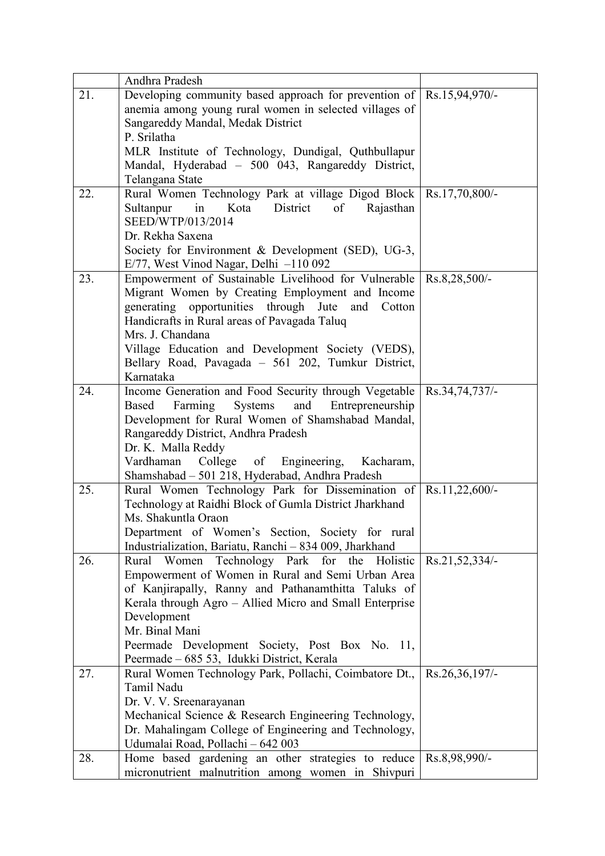|     | Andhra Pradesh                                                                                     |                |
|-----|----------------------------------------------------------------------------------------------------|----------------|
| 21. | Developing community based approach for prevention of Rs.15,94,970/-                               |                |
|     | anemia among young rural women in selected villages of                                             |                |
|     | Sangareddy Mandal, Medak District                                                                  |                |
|     | P. Srilatha                                                                                        |                |
|     | MLR Institute of Technology, Dundigal, Quthbullapur                                                |                |
|     | Mandal, Hyderabad - 500 043, Rangareddy District,                                                  |                |
|     | Telangana State                                                                                    |                |
| 22. | Rural Women Technology Park at village Digod Block   Rs.17,70,800/-                                |                |
|     | Kota<br>District<br>Sultanpur<br>in<br>of<br>Rajasthan                                             |                |
|     | SEED/WTP/013/2014                                                                                  |                |
|     | Dr. Rekha Saxena                                                                                   |                |
|     | Society for Environment & Development (SED), UG-3,                                                 |                |
|     | $E/77$ , West Vinod Nagar, Delhi $-110092$                                                         |                |
| 23. | Empowerment of Sustainable Livelihood for Vulnerable   Rs.8,28,500/-                               |                |
|     | Migrant Women by Creating Employment and Income                                                    |                |
|     | generating opportunities through Jute and<br>Cotton                                                |                |
|     | Handicrafts in Rural areas of Pavagada Taluq                                                       |                |
|     | Mrs. J. Chandana                                                                                   |                |
|     | Village Education and Development Society (VEDS),                                                  |                |
|     | Bellary Road, Pavagada - 561 202, Tumkur District,                                                 |                |
| 24. | Karnataka                                                                                          |                |
|     | Income Generation and Food Security through Vegetable   Rs.34,74,737/-<br>Based                    |                |
|     | Farming<br>Entrepreneurship<br>Systems<br>and<br>Development for Rural Women of Shamshabad Mandal, |                |
|     | Rangareddy District, Andhra Pradesh                                                                |                |
|     | Dr. K. Malla Reddy                                                                                 |                |
|     | College of Engineering, Kacharam,<br>Vardhaman                                                     |                |
|     | Shamshabad - 501 218, Hyderabad, Andhra Pradesh                                                    |                |
| 25. | Rural Women Technology Park for Dissemination of Rs.11,22,600/-                                    |                |
|     | Technology at Raidhi Block of Gumla District Jharkhand                                             |                |
|     | Ms. Shakuntla Oraon                                                                                |                |
|     | Department of Women's Section, Society for rural                                                   |                |
|     | Industrialization, Bariatu, Ranchi - 834 009, Jharkhand                                            |                |
| 26. | Rural Women Technology Park for the Holistic                                                       | Rs.21,52,334/- |
|     | Empowerment of Women in Rural and Semi Urban Area                                                  |                |
|     | of Kanjirapally, Ranny and Pathanamthitta Taluks of                                                |                |
|     | Kerala through Agro – Allied Micro and Small Enterprise                                            |                |
|     | Development                                                                                        |                |
|     | Mr. Binal Mani                                                                                     |                |
|     | Peermade Development Society, Post Box No. 11,                                                     |                |
|     | Peermade – 685 53, Idukki District, Kerala                                                         |                |
| 27. | Rural Women Technology Park, Pollachi, Coimbatore Dt.,                                             | Rs.26,36,197/- |
|     | Tamil Nadu                                                                                         |                |
|     | Dr. V. V. Sreenarayanan                                                                            |                |
|     | Mechanical Science & Research Engineering Technology,                                              |                |
|     | Dr. Mahalingam College of Engineering and Technology,                                              |                |
|     | Udumalai Road, Pollachi - 642 003                                                                  |                |
| 28. | Home based gardening an other strategies to reduce                                                 | Rs.8,98,990/-  |
|     | micronutrient malnutrition among women in Shivpuri                                                 |                |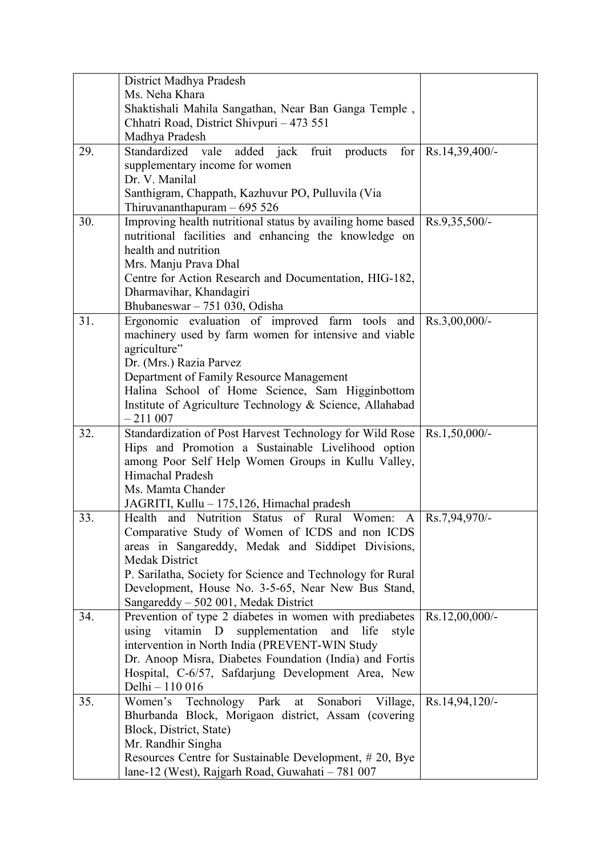|     | District Madhya Pradesh                                         |                  |
|-----|-----------------------------------------------------------------|------------------|
|     | Ms. Neha Khara                                                  |                  |
|     | Shaktishali Mahila Sangathan, Near Ban Ganga Temple,            |                  |
|     | Chhatri Road, District Shivpuri - 473 551                       |                  |
|     | Madhya Pradesh                                                  |                  |
| 29. | Standardized vale added jack fruit products<br>for <sub>l</sub> | Rs.14,39,400/-   |
|     | supplementary income for women                                  |                  |
|     | Dr. V. Manilal                                                  |                  |
|     | Santhigram, Chappath, Kazhuvur PO, Pulluvila (Via               |                  |
|     | Thiruvananthapuram - 695 526                                    |                  |
| 30. | Improving health nutritional status by availing home based      | $Rs.9,35,500/-$  |
|     | nutritional facilities and enhancing the knowledge on           |                  |
|     | health and nutrition                                            |                  |
|     | Mrs. Manju Prava Dhal                                           |                  |
|     | Centre for Action Research and Documentation, HIG-182,          |                  |
|     | Dharmavihar, Khandagiri                                         |                  |
|     | Bhubaneswar – 751 030, Odisha                                   |                  |
| 31. | Ergonomic evaluation of improved farm tools and                 | $Rs.3,00,000/$ - |
|     | machinery used by farm women for intensive and viable           |                  |
|     | agriculture"                                                    |                  |
|     | Dr. (Mrs.) Razia Parvez                                         |                  |
|     | Department of Family Resource Management                        |                  |
|     | Halina School of Home Science, Sam Higginbottom                 |                  |
|     | Institute of Agriculture Technology & Science, Allahabad        |                  |
|     | $-211007$                                                       |                  |
| 32. | Standardization of Post Harvest Technology for Wild Rose        | $Rs.1,50,000/$ - |
|     | Hips and Promotion a Sustainable Livelihood option              |                  |
|     | among Poor Self Help Women Groups in Kullu Valley,              |                  |
|     | Himachal Pradesh                                                |                  |
|     | Ms. Mamta Chander                                               |                  |
|     | JAGRITI, Kullu - 175,126, Himachal pradesh                      |                  |
| 33. | Health and Nutrition Status of Rural Women: A Rs.7,94,970/-     |                  |
|     | Comparative Study of Women of ICDS and non ICDS                 |                  |
|     | areas in Sangareddy, Medak and Siddipet Divisions,              |                  |
|     | <b>Medak District</b>                                           |                  |
|     | P. Sarilatha, Society for Science and Technology for Rural      |                  |
|     | Development, House No. 3-5-65, Near New Bus Stand,              |                  |
|     | Sangareddy - 502 001, Medak District                            |                  |
| 34. | Prevention of type 2 diabetes in women with prediabetes         | Rs.12,00,000/-   |
|     | vitamin D<br>supplementation<br>and life<br>using<br>style      |                  |
|     | intervention in North India (PREVENT-WIN Study                  |                  |
|     | Dr. Anoop Misra, Diabetes Foundation (India) and Fortis         |                  |
|     | Hospital, C-6/57, Safdarjung Development Area, New              |                  |
|     | Delhi - 110 016                                                 |                  |
| 35. | Women's Technology Park<br>Sonabori<br>Village,<br>at           | Rs.14,94,120/-   |
|     | Bhurbanda Block, Morigaon district, Assam (covering             |                  |
|     | Block, District, State)                                         |                  |
|     | Mr. Randhir Singha                                              |                  |
|     | Resources Centre for Sustainable Development, #20, Bye          |                  |
|     | lane-12 (West), Rajgarh Road, Guwahati - 781 007                |                  |